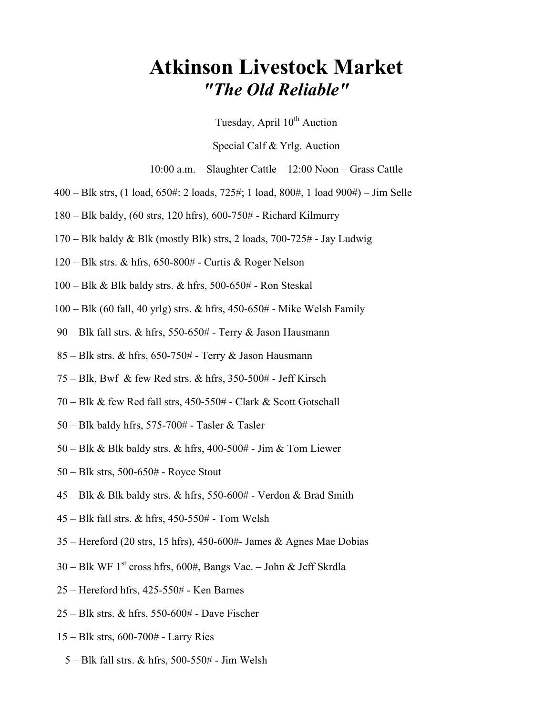## Atkinson Livestock Market "The Old Reliable"

Tuesday, April  $10^{th}$  Auction

Special Calf & Yrlg. Auction

10:00 a.m. – Slaughter Cattle 12:00 Noon – Grass Cattle

- 400 Blk strs, (1 load, 650#: 2 loads, 725#; 1 load, 800#, 1 load 900#) Jim Selle
- 180 Blk baldy, (60 strs, 120 hfrs), 600-750# Richard Kilmurry
- 170 Blk baldy & Blk (mostly Blk) strs, 2 loads, 700-725# Jay Ludwig
- 120 Blk strs. & hfrs, 650-800# Curtis & Roger Nelson
- 100 Blk & Blk baldy strs. & hfrs, 500-650# Ron Steskal
- 100 Blk (60 fall, 40 yrlg) strs. & hfrs, 450-650# Mike Welsh Family
- 90 Blk fall strs. & hfrs, 550-650# Terry & Jason Hausmann
- $85 \text{Blk strs.}$  & hfrs,  $650 750#$  Terry & Jason Hausmann
- 75 Blk, Bwf & few Red strs. & hfrs, 350-500# Jeff Kirsch
- 70 Blk & few Red fall strs, 450-550# Clark & Scott Gotschall
- $50 B$ lk baldy hfrs, 575-700# Tasler & Tasler
- 50 Blk & Blk baldy strs. & hfrs, 400-500# Jim & Tom Liewer
- 50 Blk strs, 500-650# Royce Stout
- $45 B$ lk & Blk baldy strs. & hfrs, 550-600# Verdon & Brad Smith
- 45 Blk fall strs. & hfrs, 450-550# Tom Welsh
- 35 Hereford (20 strs, 15 hfrs), 450-600#- James & Agnes Mae Dobias
- $30 B$ lk WF 1<sup>st</sup> cross hfrs, 600#, Bangs Vac. John & Jeff Skrdla
- 25 Hereford hfrs, 425-550# Ken Barnes
- 25 Blk strs. & hfrs, 550-600# Dave Fischer
- 15 Blk strs, 600-700# Larry Ries
	- 5 Blk fall strs. & hfrs, 500-550# Jim Welsh